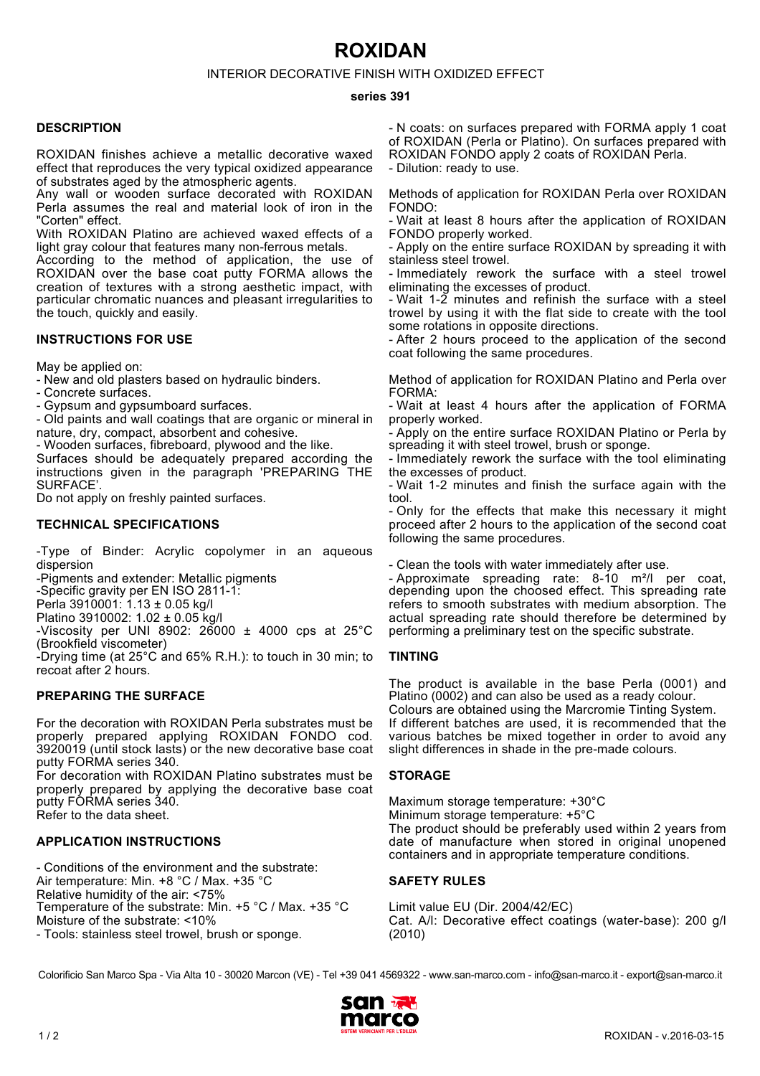# **ROXIDAN**

INTERIOR DECORATIVE FINISH WITH OXIDIZED EFFECT

#### **series 391**

#### **DESCRIPTION**

ROXIDAN finishes achieve a metallic decorative waxed effect that reproduces the very typical oxidized appearance of substrates aged by the atmospheric agents.

Any wall or wooden surface decorated with ROXIDAN Perla assumes the real and material look of iron in the "Corten" effect.

With ROXIDAN Platino are achieved waxed effects of a light gray colour that features many non-ferrous metals.

According to the method of application, the use of ROXIDAN over the base coat putty FORMA allows the creation of textures with a strong aesthetic impact, with particular chromatic nuances and pleasant irregularities to the touch, quickly and easily.

### **INSTRUCTIONS FOR USE**

May be applied on:

- New and old plasters based on hydraulic binders.

- Concrete surfaces.

- Gypsum and gypsumboard surfaces.

- Old paints and wall coatings that are organic or mineral in nature, dry, compact, absorbent and cohesive.

- Wooden surfaces, fibreboard, plywood and the like.

Surfaces should be adequately prepared according the instructions given in the paragraph 'PREPARING THE SURFACE'.

Do not apply on freshly painted surfaces.

## **TECHNICAL SPECIFICATIONS**

-Type of Binder: Acrylic copolymer in an aqueous dispersion

-Pigments and extender: Metallic pigments

-Specific gravity per EN ISO 2811-1:

Perla 3910001: 1.13 ± 0.05 kg/l

Platino 3910002: 1.02 ± 0.05 kg/l

-Viscosity per UNI 8902:  $26000 \pm 4000$  cps at  $25^{\circ}$ C (Brookfield viscometer)

-Drying time (at 25°C and 65% R.H.): to touch in 30 min; to recoat after 2 hours.

## **PREPARING THE SURFACE**

For the decoration with ROXIDAN Perla substrates must be properly prepared applying ROXIDAN FONDO cod. 3920019 (until stock lasts) or the new decorative base coat putty FORMA series 340.

For decoration with ROXIDAN Platino substrates must be properly prepared by applying the decorative base coat putty FÓRMA series 340. Refer to the data sheet.

## **APPLICATION INSTRUCTIONS**

- Conditions of the environment and the substrate: Air temperature: Min. +8 °C / Max. +35 °C Relative humidity of the air: <75% Temperature of the substrate: Min. +5 °C / Max. +35 °C Moisture of the substrate: <10%

- Tools: stainless steel trowel, brush or sponge.

- N coats: on surfaces prepared with FORMA apply 1 coat of ROXIDAN (Perla or Platino). On surfaces prepared with ROXIDAN FONDO apply 2 coats of ROXIDAN Perla.

- Dilution: ready to use.

Methods of application for ROXIDAN Perla over ROXIDAN FONDO:

- Wait at least 8 hours after the application of ROXIDAN FONDO properly worked.

- Apply on the entire surface ROXIDAN by spreading it with stainless steel trowel.

- Immediately rework the surface with a steel trowel eliminating the excesses of product.

- Wait 1-2 minutes and refinish the surface with a steel trowel by using it with the flat side to create with the tool some rotations in opposite directions.

- After 2 hours proceed to the application of the second coat following the same procedures.

Method of application for ROXIDAN Platino and Perla over FORMA:

- Wait at least 4 hours after the application of FORMA properly worked.

- Apply on the entire surface ROXIDAN Platino or Perla by spreading it with steel trowel, brush or sponge.

- Immediately rework the surface with the tool eliminating the excesses of product.

- Wait 1-2 minutes and finish the surface again with the tool.

- Only for the effects that make this necessary it might proceed after 2 hours to the application of the second coat following the same procedures.

- Clean the tools with water immediately after use.

- Approximate spreading rate: 8-10 m²/l per coat, depending upon the choosed effect. This spreading rate refers to smooth substrates with medium absorption. The actual spreading rate should therefore be determined by performing a preliminary test on the specific substrate.

#### **TINTING**

The product is available in the base Perla (0001) and Platino (0002) and can also be used as a ready colour. Colours are obtained using the Marcromie Tinting System. If different batches are used, it is recommended that the various batches be mixed together in order to avoid any slight differences in shade in the pre-made colours.

#### **STORAGE**

Maximum storage temperature: +30°C Minimum storage temperature: +5°C The product should be preferably used within 2 years from date of manufacture when stored in original unopened containers and in appropriate temperature conditions.

#### **SAFETY RULES**

Limit value EU (Dir. 2004/42/EC) Cat. A/l: Decorative effect coatings (water-base): 200 g/l (2010)

Colorificio San Marco Spa - Via Alta 10 - 30020 Marcon (VE) - Tel +39 041 4569322 - www.san-marco.com - info@san-marco.it - export@san-marco.it